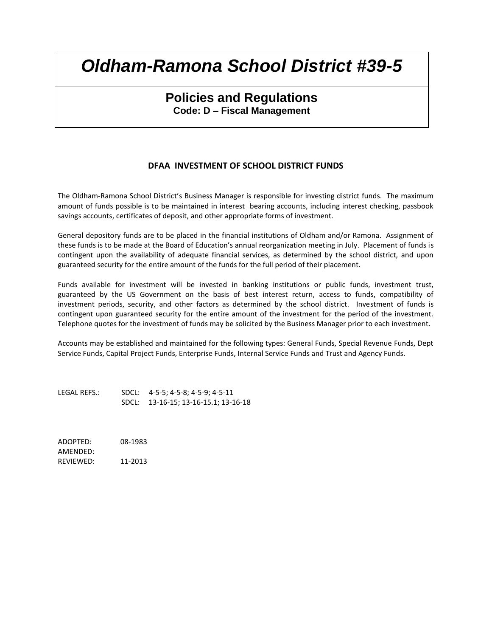## **Policies and Regulations Code: D – Fiscal Management**

#### **DFAA INVESTMENT OF SCHOOL DISTRICT FUNDS**

The Oldham-Ramona School District's Business Manager is responsible for investing district funds. The maximum amount of funds possible is to be maintained in interest bearing accounts, including interest checking, passbook savings accounts, certificates of deposit, and other appropriate forms of investment.

General depository funds are to be placed in the financial institutions of Oldham and/or Ramona. Assignment of these funds is to be made at the Board of Education's annual reorganization meeting in July. Placement of funds is contingent upon the availability of adequate financial services, as determined by the school district, and upon guaranteed security for the entire amount of the funds for the full period of their placement.

Funds available for investment will be invested in banking institutions or public funds, investment trust, guaranteed by the US Government on the basis of best interest return, access to funds, compatibility of investment periods, security, and other factors as determined by the school district. Investment of funds is contingent upon guaranteed security for the entire amount of the investment for the period of the investment. Telephone quotes for the investment of funds may be solicited by the Business Manager prior to each investment.

Accounts may be established and maintained for the following types: General Funds, Special Revenue Funds, Dept Service Funds, Capital Project Funds, Enterprise Funds, Internal Service Funds and Trust and Agency Funds.

LEGAL REFS.: SDCL: 4-5-5; 4-5-8; 4-5-9; 4-5-11 SDCL: 13-16-15; 13-16-15.1; 13-16-18

ADOPTED: 08-1983 AMENDED: REVIEWED: 11-2013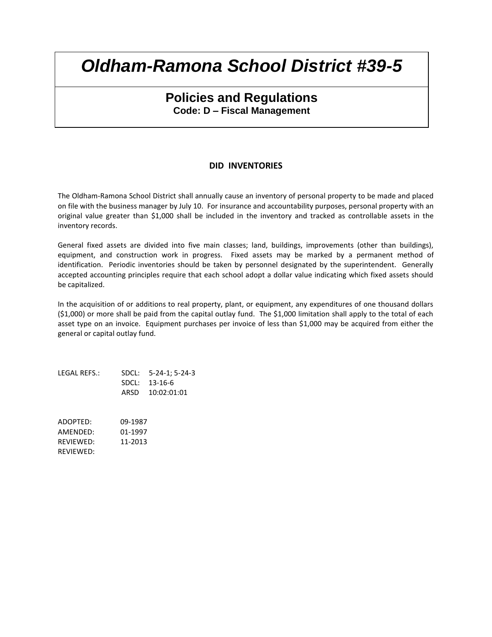### **Policies and Regulations Code: D – Fiscal Management**

#### **DID INVENTORIES**

The Oldham-Ramona School District shall annually cause an inventory of personal property to be made and placed on file with the business manager by July 10. For insurance and accountability purposes, personal property with an original value greater than \$1,000 shall be included in the inventory and tracked as controllable assets in the inventory records.

General fixed assets are divided into five main classes; land, buildings, improvements (other than buildings), equipment, and construction work in progress. Fixed assets may be marked by a permanent method of identification. Periodic inventories should be taken by personnel designated by the superintendent. Generally accepted accounting principles require that each school adopt a dollar value indicating which fixed assets should be capitalized.

In the acquisition of or additions to real property, plant, or equipment, any expenditures of one thousand dollars (\$1,000) or more shall be paid from the capital outlay fund. The \$1,000 limitation shall apply to the total of each asset type on an invoice. Equipment purchases per invoice of less than \$1,000 may be acquired from either the general or capital outlay fund.

LEGAL REFS.: SDCL: 5-24-1; 5-24-3 SDCL: 13-16-6 ARSD 10:02:01:01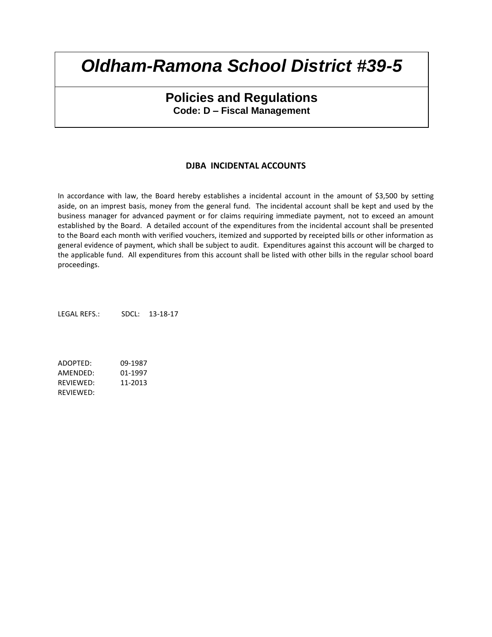### **Policies and Regulations Code: D – Fiscal Management**

#### **DJBA INCIDENTAL ACCOUNTS**

In accordance with law, the Board hereby establishes a incidental account in the amount of \$3,500 by setting aside, on an imprest basis, money from the general fund. The incidental account shall be kept and used by the business manager for advanced payment or for claims requiring immediate payment, not to exceed an amount established by the Board. A detailed account of the expenditures from the incidental account shall be presented to the Board each month with verified vouchers, itemized and supported by receipted bills or other information as general evidence of payment, which shall be subject to audit. Expenditures against this account will be charged to the applicable fund. All expenditures from this account shall be listed with other bills in the regular school board proceedings.

LEGAL REFS.: SDCL: 13-18-17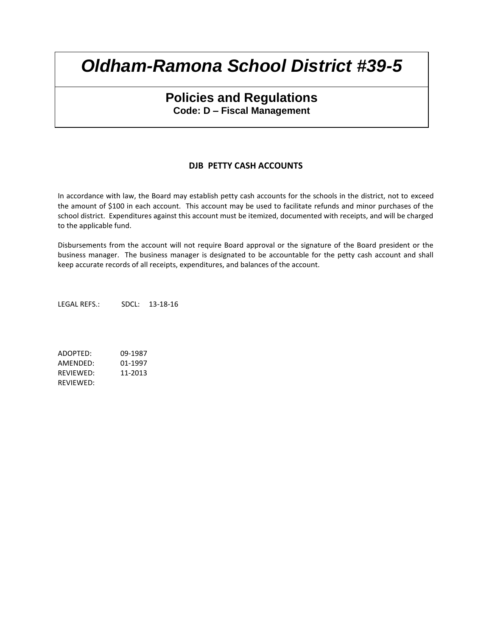### **Policies and Regulations Code: D – Fiscal Management**

#### **DJB PETTY CASH ACCOUNTS**

In accordance with law, the Board may establish petty cash accounts for the schools in the district, not to exceed the amount of \$100 in each account. This account may be used to facilitate refunds and minor purchases of the school district. Expenditures against this account must be itemized, documented with receipts, and will be charged to the applicable fund.

Disbursements from the account will not require Board approval or the signature of the Board president or the business manager. The business manager is designated to be accountable for the petty cash account and shall keep accurate records of all receipts, expenditures, and balances of the account.

LEGAL REFS.: SDCL: 13-18-16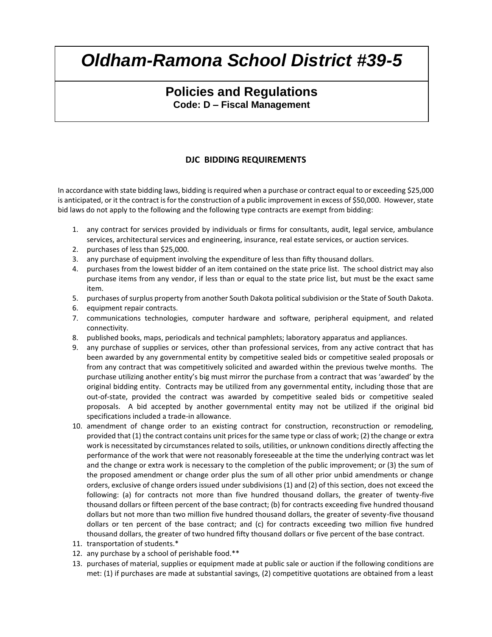## **Policies and Regulations Code: D – Fiscal Management**

#### **DJC BIDDING REQUIREMENTS**

In accordance with state bidding laws, bidding is required when a purchase or contract equal to or exceeding \$25,000 is anticipated, or it the contract is for the construction of a public improvement in excess of \$50,000. However, state bid laws do not apply to the following and the following type contracts are exempt from bidding:

- 1. any contract for services provided by individuals or firms for consultants, audit, legal service, ambulance services, architectural services and engineering, insurance, real estate services, or auction services.
- 2. purchases of less than \$25,000.
- 3. any purchase of equipment involving the expenditure of less than fifty thousand dollars.
- 4. purchases from the lowest bidder of an item contained on the state price list. The school district may also purchase items from any vendor, if less than or equal to the state price list, but must be the exact same item.
- 5. purchases of surplus property from another South Dakota political subdivision or the State of South Dakota.
- 6. equipment repair contracts.
- 7. communications technologies, computer hardware and software, peripheral equipment, and related connectivity.
- 8. published books, maps, periodicals and technical pamphlets; laboratory apparatus and appliances.
- 9. any purchase of supplies or services, other than professional services, from any active contract that has been awarded by any governmental entity by competitive sealed bids or competitive sealed proposals or from any contract that was competitively solicited and awarded within the previous twelve months. The purchase utilizing another entity's big must mirror the purchase from a contract that was 'awarded' by the original bidding entity. Contracts may be utilized from any governmental entity, including those that are out-of-state, provided the contract was awarded by competitive sealed bids or competitive sealed proposals. A bid accepted by another governmental entity may not be utilized if the original bid specifications included a trade-in allowance.
- 10. amendment of change order to an existing contract for construction, reconstruction or remodeling, provided that (1) the contract contains unit prices for the same type or class of work; (2) the change or extra work is necessitated by circumstances related to soils, utilities, or unknown conditions directly affecting the performance of the work that were not reasonably foreseeable at the time the underlying contract was let and the change or extra work is necessary to the completion of the public improvement; or (3) the sum of the proposed amendment or change order plus the sum of all other prior unbid amendments or change orders, exclusive of change orders issued under subdivisions (1) and (2) of this section, does not exceed the following: (a) for contracts not more than five hundred thousand dollars, the greater of twenty-five thousand dollars or fifteen percent of the base contract; (b) for contracts exceeding five hundred thousand dollars but not more than two million five hundred thousand dollars, the greater of seventy-five thousand dollars or ten percent of the base contract; and (c) for contracts exceeding two million five hundred thousand dollars, the greater of two hundred fifty thousand dollars or five percent of the base contract.
- 11. transportation of students.\*
- 12. any purchase by a school of perishable food.\*\*
- 13. purchases of material, supplies or equipment made at public sale or auction if the following conditions are met: (1) if purchases are made at substantial savings, (2) competitive quotations are obtained from a least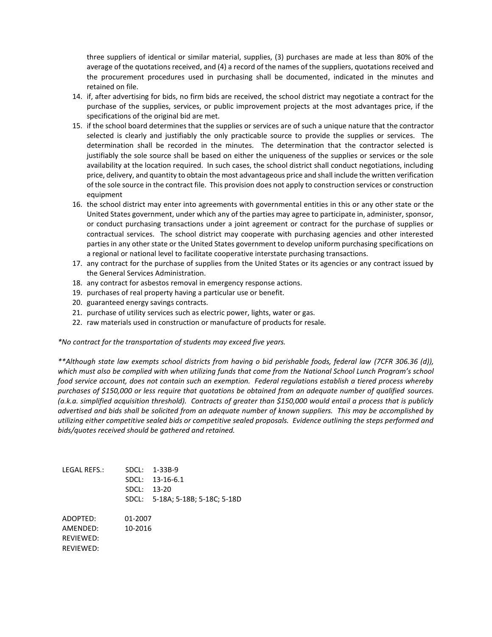three suppliers of identical or similar material, supplies, (3) purchases are made at less than 80% of the average of the quotations received, and (4) a record of the names of the suppliers, quotations received and the procurement procedures used in purchasing shall be documented, indicated in the minutes and retained on file.

- 14. if, after advertising for bids, no firm bids are received, the school district may negotiate a contract for the purchase of the supplies, services, or public improvement projects at the most advantages price, if the specifications of the original bid are met.
- 15. if the school board determines that the supplies or services are of such a unique nature that the contractor selected is clearly and justifiably the only practicable source to provide the supplies or services. The determination shall be recorded in the minutes. The determination that the contractor selected is justifiably the sole source shall be based on either the uniqueness of the supplies or services or the sole availability at the location required. In such cases, the school district shall conduct negotiations, including price, delivery, and quantity to obtain the most advantageous price and shall include the written verification of the sole source in the contract file. This provision does not apply to construction services or construction equipment
- 16. the school district may enter into agreements with governmental entities in this or any other state or the United States government, under which any of the parties may agree to participate in, administer, sponsor, or conduct purchasing transactions under a joint agreement or contract for the purchase of supplies or contractual services. The school district may cooperate with purchasing agencies and other interested parties in any other state or the United States government to develop uniform purchasing specifications on a regional or national level to facilitate cooperative interstate purchasing transactions.
- 17. any contract for the purchase of supplies from the United States or its agencies or any contract issued by the General Services Administration.
- 18. any contract for asbestos removal in emergency response actions.
- 19. purchases of real property having a particular use or benefit.
- 20. guaranteed energy savings contracts.
- 21. purchase of utility services such as electric power, lights, water or gas.
- 22. raw materials used in construction or manufacture of products for resale.

*\*No contract for the transportation of students may exceed five years.*

*\*\*Although state law exempts school districts from having o bid perishable foods, federal law (7CFR 306.36 (d)),*  which must also be complied with when utilizing funds that come from the National School Lunch Program's school *food service account, does not contain such an exemption. Federal regulations establish a tiered process whereby purchases of \$150,000 or less require that quotations be obtained from an adequate number of qualified sources. (a.k.a. simplified acquisition threshold). Contracts of greater than \$150,000 would entail a process that is publicly advertised and bids shall be solicited from an adequate number of known suppliers. This may be accomplished by utilizing either competitive sealed bids or competitive sealed proposals. Evidence outlining the steps performed and bids/quotes received should be gathered and retained.*

| LEGAL REFS.: | SDCL:<br>SDCL:<br>SDCL:<br>SDCL: | $1 - 33B - 9$<br>13-16-6.1<br>$13 - 20$<br>5-18A; 5-18B; 5-18C; 5-18D |
|--------------|----------------------------------|-----------------------------------------------------------------------|
| ADOPTED:     | 01-2007                          |                                                                       |
| AMFNDFD:     | 10-2016                          |                                                                       |
| RFVIFWFD:    |                                  |                                                                       |
| RFVIFWFD:    |                                  |                                                                       |